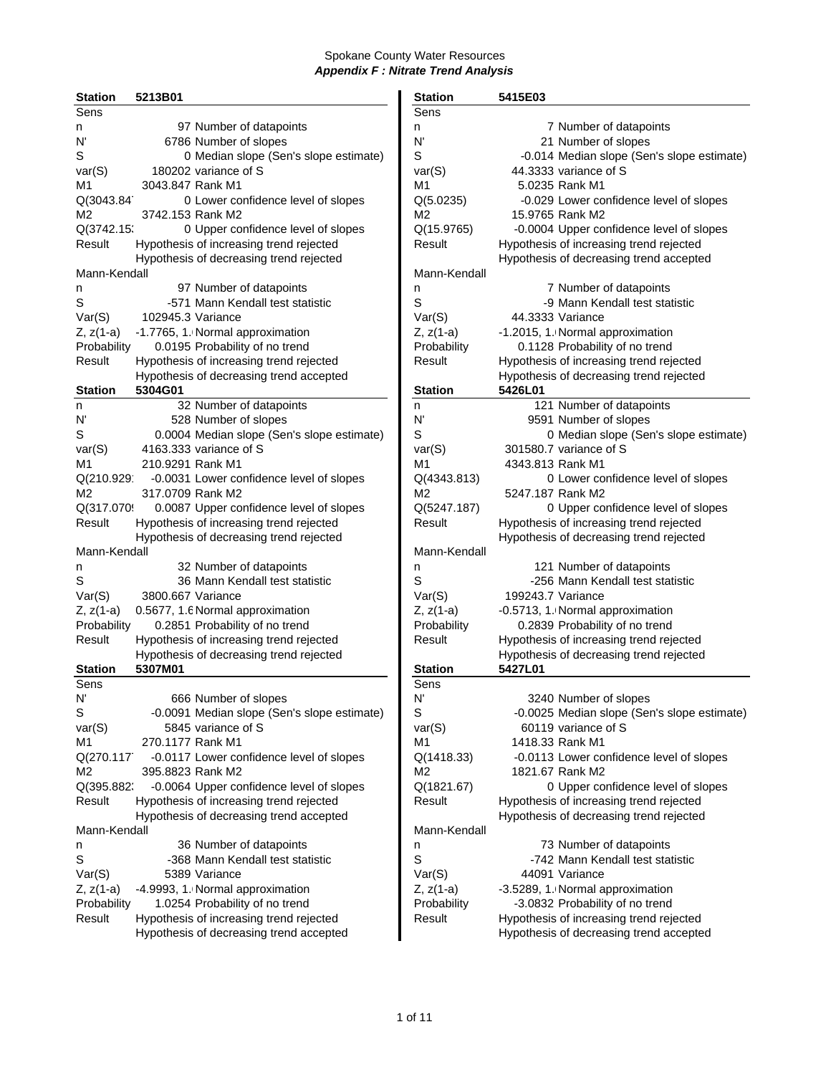| <b>Station</b> | 5213B01           |                                             | <b>Station</b> | 5415E03                                     |
|----------------|-------------------|---------------------------------------------|----------------|---------------------------------------------|
| <b>Sens</b>    |                   |                                             | Sens           |                                             |
| n              |                   | 97 Number of datapoints                     | n              | 7 Number of datapoints                      |
| N'             |                   | 6786 Number of slopes                       | N'             | 21 Number of slopes                         |
| S              |                   | 0 Median slope (Sen's slope estimate)       | S              | -0.014 Median slope (Sen's slope estimate)  |
| var(S)         |                   | 180202 variance of S                        | var(S)         | 44.3333 variance of S                       |
| M1             | 3043.847 Rank M1  |                                             | M <sub>1</sub> | 5.0235 Rank M1                              |
| Q(3043.84      |                   | 0 Lower confidence level of slopes          | Q(5.0235)      | -0.029 Lower confidence level of slopes     |
| M <sub>2</sub> | 3742.153 Rank M2  |                                             | M2             | 15.9765 Rank M2                             |
|                |                   |                                             |                |                                             |
| Q(3742.15      |                   | 0 Upper confidence level of slopes          | Q(15.9765)     | -0.0004 Upper confidence level of slopes    |
| Result         |                   | Hypothesis of increasing trend rejected     | Result         | Hypothesis of increasing trend rejected     |
|                |                   | Hypothesis of decreasing trend rejected     |                | Hypothesis of decreasing trend accepted     |
| Mann-Kendall   |                   |                                             | Mann-Kendall   |                                             |
| n              |                   | 97 Number of datapoints                     | n              | 7 Number of datapoints                      |
| S              |                   | -571 Mann Kendall test statistic            | S              | -9 Mann Kendall test statistic              |
| Var(S)         | 102945.3 Variance |                                             | Var(S)         | 44.3333 Variance                            |
| Z, z(1-a)      |                   | -1.7765, 1. Normal approximation            | $Z, z(1-a)$    | -1.2015, 1. Normal approximation            |
| Probability    |                   | 0.0195 Probability of no trend              | Probability    | 0.1128 Probability of no trend              |
| Result         |                   | Hypothesis of increasing trend rejected     | Result         | Hypothesis of increasing trend rejected     |
|                |                   | Hypothesis of decreasing trend accepted     |                | Hypothesis of decreasing trend rejected     |
| <b>Station</b> | 5304G01           |                                             | <b>Station</b> | 5426L01                                     |
| n              |                   | 32 Number of datapoints                     | n              | 121 Number of datapoints                    |
| N'             |                   | 528 Number of slopes                        | N'             | 9591 Number of slopes                       |
| S              |                   | 0.0004 Median slope (Sen's slope estimate)  | S              | 0 Median slope (Sen's slope estimate)       |
| var(S)         |                   | 4163.333 variance of S                      | var(S)         | 301580.7 variance of S                      |
| M1             | 210.9291 Rank M1  |                                             | M1             | 4343.813 Rank M1                            |
| Q(210.929      |                   | -0.0031 Lower confidence level of slopes    | Q(4343.813)    | 0 Lower confidence level of slopes          |
| M <sub>2</sub> | 317.0709 Rank M2  |                                             | M2             | 5247.187 Rank M2                            |
| Q(317.070      |                   |                                             | Q(5247.187)    |                                             |
|                |                   | 0.0087 Upper confidence level of slopes     |                | 0 Upper confidence level of slopes          |
| Result         |                   | Hypothesis of increasing trend rejected     | Result         | Hypothesis of increasing trend rejected     |
|                |                   | Hypothesis of decreasing trend rejected     |                | Hypothesis of decreasing trend rejected     |
| Mann-Kendall   |                   |                                             | Mann-Kendall   |                                             |
| n              |                   | 32 Number of datapoints                     | n              | 121 Number of datapoints                    |
| S              |                   | 36 Mann Kendall test statistic              | S              | -256 Mann Kendall test statistic            |
| Var(S)         | 3800.667 Variance |                                             | Var(S)         | 199243.7 Variance                           |
| $Z, z(1-a)$    |                   | 0.5677, 1.6 Normal approximation            | $Z, z(1-a)$    | -0.5713, 1. Normal approximation            |
| Probability    |                   | 0.2851 Probability of no trend              | Probability    | 0.2839 Probability of no trend              |
| Result         |                   | Hypothesis of increasing trend rejected     | Result         | Hypothesis of increasing trend rejected     |
|                |                   | Hypothesis of decreasing trend rejected     |                | Hypothesis of decreasing trend rejected     |
| <b>Station</b> | 5307M01           |                                             | <b>Station</b> | 5427L01                                     |
| Sens           |                   |                                             | Sens           |                                             |
| N'             |                   | 666 Number of slopes                        | N'             | 3240 Number of slopes                       |
| S              |                   | -0.0091 Median slope (Sen's slope estimate) | S              | -0.0025 Median slope (Sen's slope estimate) |
| var(S)         |                   | 5845 variance of S                          | var(S)         | 60119 variance of S                         |
| M1             | 270.1177 Rank M1  |                                             | M1             | 1418.33 Rank M1                             |
| Q(270.117      |                   | -0.0117 Lower confidence level of slopes    | Q(1418.33)     | -0.0113 Lower confidence level of slopes    |
| M2             | 395.8823 Rank M2  |                                             | M2             | 1821.67 Rank M2                             |
| Q(395.882)     |                   | -0.0064 Upper confidence level of slopes    | Q(1821.67)     | 0 Upper confidence level of slopes          |
| Result         |                   | Hypothesis of increasing trend rejected     | Result         | Hypothesis of increasing trend rejected     |
|                |                   | Hypothesis of decreasing trend accepted     |                | Hypothesis of decreasing trend rejected     |
| Mann-Kendall   |                   |                                             | Mann-Kendall   |                                             |
|                |                   |                                             |                |                                             |
| n              |                   | 36 Number of datapoints                     | n              | 73 Number of datapoints                     |
| S              |                   | -368 Mann Kendall test statistic            | S              | -742 Mann Kendall test statistic            |
| Var(S)         |                   | 5389 Variance                               | Var(S)         | 44091 Variance                              |
| Z, z(1-a)      |                   | -4.9993, 1. Normal approximation            | $Z, z(1-a)$    | -3.5289, 1. Normal approximation            |
| Probability    |                   | 1.0254 Probability of no trend              | Probability    | -3.0832 Probability of no trend             |
| Result         |                   | Hypothesis of increasing trend rejected     | Result         | Hypothesis of increasing trend rejected     |
|                |                   | Hypothesis of decreasing trend accepted     |                | Hypothesis of decreasing trend accepted     |

| 5415E03                                                  |
|----------------------------------------------------------|
|                                                          |
| 7 Number of datapoints                                   |
| 21 Number of slopes                                      |
| -0.014 Median slope (Sen's slope estimate)               |
| 44.3333 variance of S                                    |
| 5.0235 Rank M1                                           |
| -0.029 Lower confidence level of slopes                  |
| 15.9765 Rank M2                                          |
| -0.0004 Upper confidence level of slopes                 |
| Hypothesis of increasing trend rejected                  |
| Hypothesis of decreasing trend accepted                  |
|                                                          |
|                                                          |
| 7 Number of datapoints<br>-9 Mann Kendall test statistic |
|                                                          |
| 44.3333 Variance                                         |
| -1.2015, 1. Normal approximation                         |
| 0.1128 Probability of no trend                           |
| Hypothesis of increasing trend rejected                  |
| Hypothesis of decreasing trend rejected                  |
| 5426L01                                                  |
| 121 Number of datapoints                                 |
| 9591 Number of slopes                                    |
| 0 Median slope (Sen's slope estimate)                    |
| 301580.7 variance of S                                   |
| 4343.813 Rank M1                                         |
| 0 Lower confidence level of slopes                       |
| 5247.187 Rank M2                                         |
| 0 Upper confidence level of slopes                       |
| Hypothesis of increasing trend rejected                  |
| Hypothesis of decreasing trend rejected                  |
|                                                          |
| 121 Number of datapoints                                 |
| -256 Mann Kendall test statistic                         |
| 199243.7 Variance                                        |
|                                                          |
| -0.5713, 1. Normal approximation                         |
| 0.2839 Probability of no trend                           |
| Hypothesis of increasing trend rejected                  |
| Hypothesis of decreasing trend rejected                  |
| 5427L01                                                  |
|                                                          |
| 3240 Number of slopes                                    |
| -0.0025 Median slope (Sen's slope estimate)              |
| 60119 variance of S                                      |
| 1418.33 Rank M1                                          |
| -0.0113 Lower confidence level of slopes                 |
| 1821.67 Rank M2                                          |
| 0 Upper confidence level of slopes                       |
| Hypothesis of increasing trend rejected                  |
| Hypothesis of decreasing trend rejected                  |
|                                                          |
| 73 Number of datapoints                                  |
| -742 Mann Kendall test statistic                         |
| 44091 Variance                                           |
| -3.5289, 1. Normal approximation                         |
| -3.0832 Probability of no trend                          |
| Hypothesis of increasing trend rejected                  |
|                                                          |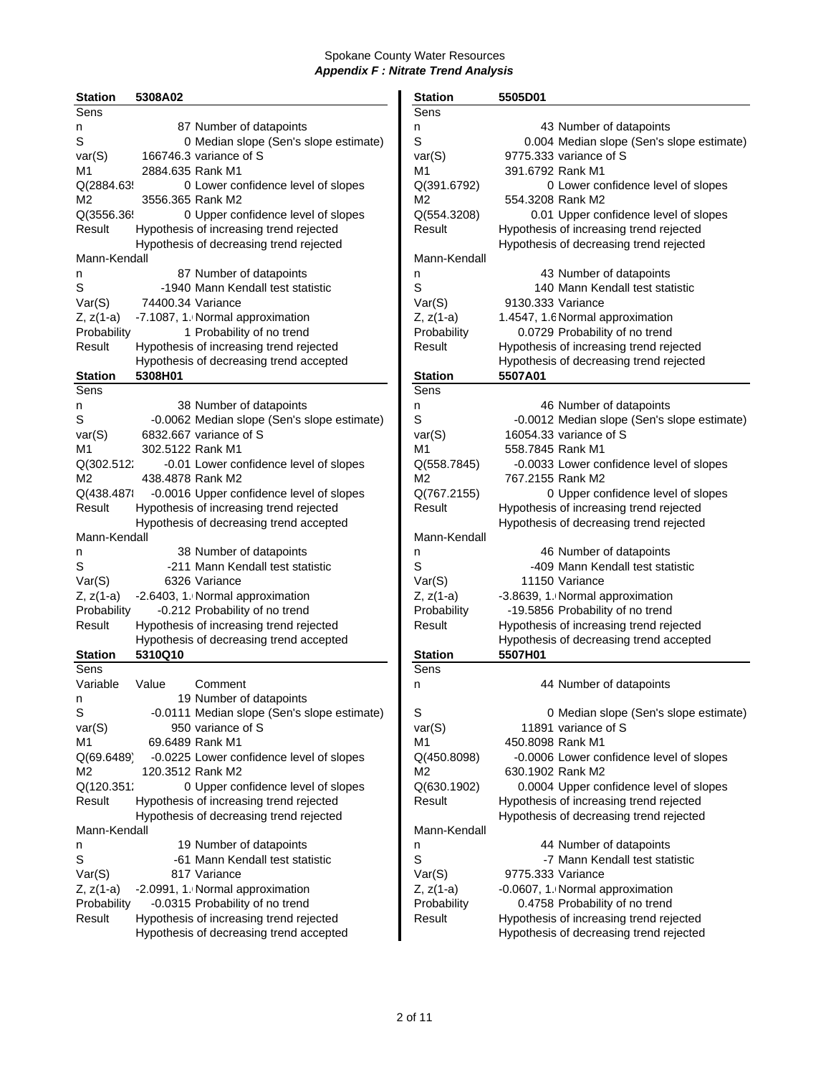| <b>Station</b> | 5308A02           |                                             | <b>Station</b> | 5505D01           |                                         |
|----------------|-------------------|---------------------------------------------|----------------|-------------------|-----------------------------------------|
| Sens           |                   |                                             | Sens           |                   |                                         |
| n              |                   | 87 Number of datapoints                     | n              |                   | 43 Number of datapoints                 |
| S              |                   | 0 Median slope (Sen's slope estimate)       | S              |                   | 0.004 Median slope (Sen's slope         |
| var(S)         |                   | 166746.3 variance of S                      | var(S)         |                   | 9775.333 variance of S                  |
| M1             | 2884.635 Rank M1  |                                             | M1             | 391.6792 Rank M1  |                                         |
| Q(2884.63!     |                   | 0 Lower confidence level of slopes          | Q(391.6792)    |                   | 0 Lower confidence level of s           |
| M2             | 3556.365 Rank M2  |                                             | M2             | 554.3208 Rank M2  |                                         |
|                |                   |                                             |                |                   |                                         |
| Q(3556.36      |                   | 0 Upper confidence level of slopes          | Q(554.3208)    |                   | 0.01 Upper confidence level of s        |
| Result         |                   | Hypothesis of increasing trend rejected     | Result         |                   | Hypothesis of increasing trend rejected |
|                |                   | Hypothesis of decreasing trend rejected     |                |                   | Hypothesis of decreasing trend rejecte  |
| Mann-Kendall   |                   |                                             | Mann-Kendall   |                   |                                         |
| n              |                   | 87 Number of datapoints                     | n              |                   | 43 Number of datapoints                 |
| S              |                   | -1940 Mann Kendall test statistic           | S              |                   | 140 Mann Kendall test statistic         |
| Var(S)         | 74400.34 Variance |                                             | Var(S)         | 9130.333 Variance |                                         |
| Z, z(1-a)      |                   | -7.1087, 1. Normal approximation            | $Z, z(1-a)$    |                   | 1.4547, 1.6 Normal approximation        |
| Probability    |                   | 1 Probability of no trend                   | Probability    |                   | 0.0729 Probability of no trend          |
| Result         |                   | Hypothesis of increasing trend rejected     | Result         |                   | Hypothesis of increasing trend rejected |
|                |                   | Hypothesis of decreasing trend accepted     |                |                   | Hypothesis of decreasing trend rejecte  |
| Station        | 5308H01           |                                             | <b>Station</b> | 5507A01           |                                         |
| Sens           |                   |                                             | Sens           |                   |                                         |
| n              |                   | 38 Number of datapoints                     | n              |                   | 46 Number of datapoints                 |
| S              |                   | -0.0062 Median slope (Sen's slope estimate) | S              |                   | -0.0012 Median slope (Sen's slope       |
|                |                   | 6832,667 variance of S                      |                |                   | 16054.33 variance of S                  |
| var(S)         |                   |                                             | var(S)         |                   |                                         |
| M1             | 302.5122 Rank M1  |                                             | M1             | 558.7845 Rank M1  |                                         |
| Q(302.512;     |                   | -0.01 Lower confidence level of slopes      | Q(558.7845)    |                   | -0.0033 Lower confidence level of s     |
| M2             | 438.4878 Rank M2  |                                             | M2             | 767.2155 Rank M2  |                                         |
| Q(438.4871     |                   | -0.0016 Upper confidence level of slopes    | Q(767.2155)    |                   | 0 Upper confidence level of s           |
| Result         |                   | Hypothesis of increasing trend rejected     | Result         |                   | Hypothesis of increasing trend rejected |
|                |                   | Hypothesis of decreasing trend accepted     |                |                   | Hypothesis of decreasing trend rejecte  |
| Mann-Kendall   |                   |                                             | Mann-Kendall   |                   |                                         |
| n              |                   | 38 Number of datapoints                     | n              |                   | 46 Number of datapoints                 |
| S              |                   | -211 Mann Kendall test statistic            | S              |                   | -409 Mann Kendall test statistic        |
| Var(S)         |                   | 6326 Variance                               | Var(S)         |                   | 11150 Variance                          |
| Z, z(1-a)      |                   | -2.6403, 1. Normal approximation            | $Z, z(1-a)$    |                   | -3.8639, 1. Normal approximation        |
| Probability    |                   | -0.212 Probability of no trend              | Probability    |                   | -19.5856 Probability of no trend        |
| Result         |                   | Hypothesis of increasing trend rejected     | Result         |                   | Hypothesis of increasing trend rejected |
|                |                   | Hypothesis of decreasing trend accepted     |                |                   | Hypothesis of decreasing trend accept   |
| <b>Station</b> | 5310Q10           |                                             | <b>Station</b> | 5507H01           |                                         |
| Sens           |                   |                                             | Sens           |                   |                                         |
| Variable       | Value             | Comment                                     | n              |                   | 44 Number of datapoints                 |
|                |                   | 19 Number of datapoints                     |                |                   |                                         |
| n              |                   |                                             |                |                   |                                         |
| S              |                   | -0.0111 Median slope (Sen's slope estimate) | S              |                   | 0 Median slope (Sen's slope             |
| var(S)         |                   | 950 variance of S                           | var(S)         |                   | 11891 variance of S                     |
| M1             |                   | 69.6489 Rank M1                             | M1             | 450.8098 Rank M1  |                                         |
| Q(69.6489)     |                   | -0.0225 Lower confidence level of slopes    | Q(450.8098)    |                   | -0.0006 Lower confidence level of s     |
| M2             | 120.3512 Rank M2  |                                             | M2             | 630.1902 Rank M2  |                                         |
| Q(120.351;     |                   | 0 Upper confidence level of slopes          | Q(630.1902)    |                   | 0.0004 Upper confidence level of s      |
| Result         |                   | Hypothesis of increasing trend rejected     | Result         |                   | Hypothesis of increasing trend rejected |
|                |                   | Hypothesis of decreasing trend rejected     |                |                   | Hypothesis of decreasing trend rejecte  |
| Mann-Kendall   |                   |                                             | Mann-Kendall   |                   |                                         |
| n              |                   | 19 Number of datapoints                     | n              |                   | 44 Number of datapoints                 |
| S              |                   | -61 Mann Kendall test statistic             | S              |                   | -7 Mann Kendall test statistic          |
| Var(S)         |                   | 817 Variance                                | Var(S)         | 9775.333 Variance |                                         |
| Z, z(1-a)      |                   | -2.0991, 1. Normal approximation            | $Z, z(1-a)$    |                   | -0.0607, 1. Normal approximation        |
| Probability    |                   | -0.0315 Probability of no trend             | Probability    |                   | 0.4758 Probability of no trend          |
| Result         |                   | Hypothesis of increasing trend rejected     | Result         |                   | Hypothesis of increasing trend rejected |
|                |                   |                                             |                |                   |                                         |
|                |                   | Hypothesis of decreasing trend accepted     |                |                   | Hypothesis of decreasing trend rejecte  |

| <b>Station</b> | 5308A02           |                                             | <b>Station</b> | 5505D01                                     |
|----------------|-------------------|---------------------------------------------|----------------|---------------------------------------------|
| Sens           |                   |                                             | Sens           |                                             |
| n              |                   | 87 Number of datapoints                     | n              | 43 Number of datapoints                     |
| S              |                   | 0 Median slope (Sen's slope estimate)       | S              | 0.004 Median slope (Sen's slope estimate)   |
| var(S)         |                   | 166746.3 variance of S                      | var(S)         | 9775.333 variance of S                      |
| M1             | 2884.635 Rank M1  |                                             | M <sub>1</sub> | 391.6792 Rank M1                            |
| Q(2884.63!     |                   | 0 Lower confidence level of slopes          | Q(391.6792)    | 0 Lower confidence level of slopes          |
| М2             | 3556.365 Rank M2  |                                             | M2             | 554.3208 Rank M2                            |
| Q(3556.36      |                   | 0 Upper confidence level of slopes          | Q(554.3208)    | 0.01 Upper confidence level of slopes       |
| Result         |                   | Hypothesis of increasing trend rejected     | Result         | Hypothesis of increasing trend rejected     |
|                |                   | Hypothesis of decreasing trend rejected     |                | Hypothesis of decreasing trend rejected     |
| Mann-Kendall   |                   |                                             | Mann-Kendall   |                                             |
| n              |                   | 87 Number of datapoints                     | n              | 43 Number of datapoints                     |
| S              |                   | -1940 Mann Kendall test statistic           | S              | 140 Mann Kendall test statistic             |
| Var(S)         | 74400.34 Variance |                                             | Var(S)         | 9130.333 Variance                           |
| Z, z(1-a)      |                   | -7.1087, 1. Normal approximation            | $Z, z(1-a)$    | 1.4547, 1.6 Normal approximation            |
| Probability    |                   | 1 Probability of no trend                   | Probability    | 0.0729 Probability of no trend              |
| Result         |                   | Hypothesis of increasing trend rejected     | Result         | Hypothesis of increasing trend rejected     |
|                |                   | Hypothesis of decreasing trend accepted     |                | Hypothesis of decreasing trend rejected     |
| <b>Station</b> | 5308H01           |                                             | <b>Station</b> | 5507A01                                     |
| Sens           |                   |                                             | Sens           |                                             |
| n              |                   | 38 Number of datapoints                     | n              | 46 Number of datapoints                     |
| S              |                   | -0.0062 Median slope (Sen's slope estimate) | S              | -0.0012 Median slope (Sen's slope estimate) |
| var(S)         |                   | 6832.667 variance of S                      | var(S)         | 16054.33 variance of S                      |
| M1             | 302.5122 Rank M1  |                                             | M1             | 558.7845 Rank M1                            |
| Q(302.512;     |                   | -0.01 Lower confidence level of slopes      | Q(558.7845)    | -0.0033 Lower confidence level of slopes    |
| М2             | 438.4878 Rank M2  |                                             | M <sub>2</sub> | 767.2155 Rank M2                            |
| Q(438.487)     |                   | -0.0016 Upper confidence level of slopes    | Q(767.2155)    | 0 Upper confidence level of slopes          |
| Result         |                   | Hypothesis of increasing trend rejected     | Result         | Hypothesis of increasing trend rejected     |
|                |                   | Hypothesis of decreasing trend accepted     |                | Hypothesis of decreasing trend rejected     |
| Mann-Kendall   |                   |                                             | Mann-Kendall   |                                             |
| n              |                   | 38 Number of datapoints                     | n              | 46 Number of datapoints                     |
| S              |                   | -211 Mann Kendall test statistic            | S              | -409 Mann Kendall test statistic            |
| Var(S)         |                   | 6326 Variance                               | Var(S)         | 11150 Variance                              |
| Z, z(1-a)      |                   | -2.6403, 1. Normal approximation            | $Z, z(1-a)$    | -3.8639, 1. Normal approximation            |
| Probability    |                   | -0.212 Probability of no trend              | Probability    | -19.5856 Probability of no trend            |
| Result         |                   | Hypothesis of increasing trend rejected     | Result         | Hypothesis of increasing trend rejected     |
|                |                   | Hypothesis of decreasing trend accepted     |                | Hypothesis of decreasing trend accepted     |
| Station        | 5310Q10           |                                             | <b>Station</b> | 5507H01                                     |
| Sens           |                   |                                             | Sens           |                                             |
| Variable       | Value             | Comment                                     | n              | 44 Number of datapoints                     |
| n              |                   | 19 Number of datapoints                     |                |                                             |
| S              |                   | -0.0111 Median slope (Sen's slope estimate) | S              | 0 Median slope (Sen's slope estimate)       |
| var(S)         |                   | 950 variance of S                           | var(S)         | 11891 variance of S                         |
| M1             |                   | 69.6489 Rank M1                             | M1             | 450.8098 Rank M1                            |
| Q(69.6489)     |                   | -0.0225 Lower confidence level of slopes    | Q(450.8098)    | -0.0006 Lower confidence level of slopes    |
| М2             | 120.3512 Rank M2  |                                             | M2             | 630.1902 Rank M2                            |
| Q(120.351;     |                   | 0 Upper confidence level of slopes          | Q(630.1902)    | 0.0004 Upper confidence level of slopes     |
| Result         |                   |                                             | Result         | Hypothesis of increasing trend rejected     |
|                |                   | Hypothesis of increasing trend rejected     |                |                                             |
|                |                   | Hypothesis of decreasing trend rejected     |                | Hypothesis of decreasing trend rejected     |
| Mann-Kendall   |                   |                                             | Mann-Kendall   |                                             |
| n              |                   | 19 Number of datapoints                     | n<br>S         | 44 Number of datapoints                     |
| S              |                   | -61 Mann Kendall test statistic             |                | -7 Mann Kendall test statistic              |
| Var(S)         |                   | 817 Variance                                | Var(S)         | 9775.333 Variance                           |
| Z, z(1-a)      |                   | -2.0991, 1. Normal approximation            | $Z, z(1-a)$    | -0.0607, 1. Normal approximation            |
| Probability    |                   | -0.0315 Probability of no trend             | Probability    | 0.4758 Probability of no trend              |
| Result         |                   | Hypothesis of increasing trend rejected     | Result         | Hypothesis of increasing trend rejected     |
|                |                   | Hypothesis of decreasing trend accepted     |                | Hypothesis of decreasing trend rejected     |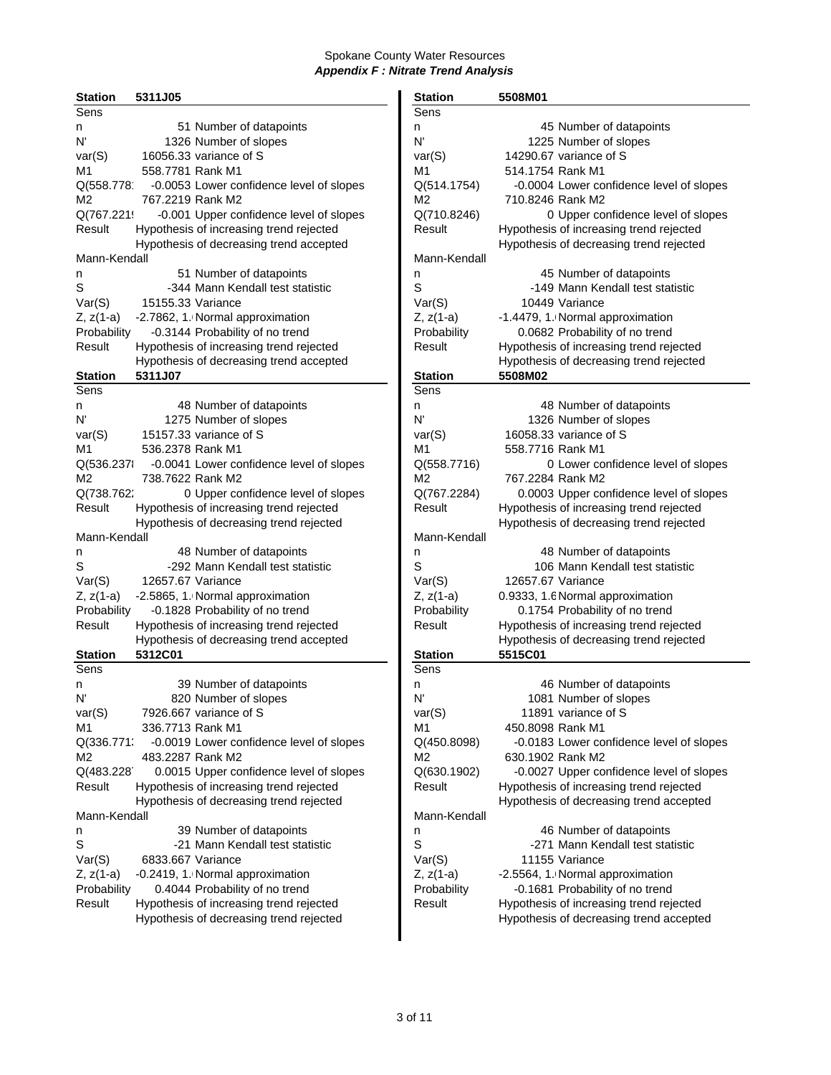| <b>Station</b>   | 5311J05           |                                                                               | <b>Station</b>         | 5508M01           |                                                            |
|------------------|-------------------|-------------------------------------------------------------------------------|------------------------|-------------------|------------------------------------------------------------|
| Sens             |                   |                                                                               | Sens                   |                   |                                                            |
| n                |                   | 51 Number of datapoints                                                       | n                      |                   | 45 Number of datapoints                                    |
| N'               |                   | 1326 Number of slopes                                                         | N'                     |                   | 1225 Number of slopes                                      |
| var(S)           |                   | 16056.33 variance of S                                                        | var(S)                 |                   | 14290.67 variance of S                                     |
| M1               | 558.7781 Rank M1  |                                                                               | M1                     | 514.1754 Rank M1  |                                                            |
| Q(558.778        |                   | -0.0053 Lower confidence level of slopes                                      | Q(514.1754)            |                   | -0.0004 Lower confidence level of s                        |
| M2               | 767.2219 Rank M2  |                                                                               | M2                     | 710.8246 Rank M2  |                                                            |
| Q(767.2219       |                   | -0.001 Upper confidence level of slopes                                       | Q(710.8246)            |                   | 0 Upper confidence level of s                              |
| Result           |                   | Hypothesis of increasing trend rejected                                       | Result                 |                   | Hypothesis of increasing trend rejected                    |
|                  |                   | Hypothesis of decreasing trend accepted                                       |                        |                   | Hypothesis of decreasing trend rejecte                     |
| Mann-Kendall     |                   |                                                                               | Mann-Kendall           |                   |                                                            |
| n                |                   | 51 Number of datapoints                                                       | n                      |                   | 45 Number of datapoints                                    |
| S                |                   | -344 Mann Kendall test statistic                                              | S                      |                   | -149 Mann Kendall test statistic                           |
| Var(S)           | 15155.33 Variance |                                                                               | Var(S)                 |                   | 10449 Variance                                             |
| Z, z(1-a)        |                   | -2.7862, 1. Normal approximation                                              | $Z, z(1-a)$            |                   | -1.4479, 1. Normal approximation                           |
| Probability      |                   | -0.3144 Probability of no trend                                               | Probability            |                   | 0.0682 Probability of no trend                             |
| Result           |                   | Hypothesis of increasing trend rejected                                       | Result                 |                   | Hypothesis of increasing trend rejected                    |
|                  |                   | Hypothesis of decreasing trend accepted                                       |                        |                   | Hypothesis of decreasing trend rejecte                     |
| Station          | 5311J07           |                                                                               | <b>Station</b>         | 5508M02           |                                                            |
| Sens             |                   |                                                                               | Sens                   |                   |                                                            |
| n                |                   | 48 Number of datapoints                                                       | n                      |                   | 48 Number of datapoints                                    |
| N'               |                   | 1275 Number of slopes                                                         | N'                     |                   | 1326 Number of slopes                                      |
| var(S)           |                   | 15157.33 variance of S                                                        | var(S)                 |                   | 16058.33 variance of S                                     |
| M1               | 536.2378 Rank M1  |                                                                               | M1                     | 558.7716 Rank M1  |                                                            |
|                  |                   | -0.0041 Lower confidence level of slopes                                      | Q(558.7716)            |                   | 0 Lower confidence level of s                              |
| Q(536.2378<br>M2 | 738.7622 Rank M2  |                                                                               | M2                     | 767.2284 Rank M2  |                                                            |
| Q(738.762)       |                   |                                                                               | Q(767.2284)            |                   | 0.0003 Upper confidence level of s                         |
| Result           |                   | 0 Upper confidence level of slopes<br>Hypothesis of increasing trend rejected | Result                 |                   | Hypothesis of increasing trend rejected                    |
|                  |                   | Hypothesis of decreasing trend rejected                                       |                        |                   | Hypothesis of decreasing trend rejecte                     |
|                  |                   |                                                                               |                        |                   |                                                            |
| Mann-Kendall     |                   |                                                                               | Mann-Kendall           |                   |                                                            |
| n<br>S           |                   | 48 Number of datapoints<br>-292 Mann Kendall test statistic                   | n<br>S                 |                   | 48 Number of datapoints<br>106 Mann Kendall test statistic |
|                  | 12657.67 Variance |                                                                               |                        | 12657.67 Variance |                                                            |
| Var(S)           |                   |                                                                               | Var(S)                 |                   |                                                            |
| Z, z(1-a)        |                   | -2.5865, 1. Normal approximation                                              | $Z, z(1-a)$            |                   | 0.9333, 1.6 Normal approximation                           |
| Probability      |                   | -0.1828 Probability of no trend                                               | Probability            |                   | 0.1754 Probability of no trend                             |
| Result           |                   | Hypothesis of increasing trend rejected                                       | Result                 |                   | Hypothesis of increasing trend rejected                    |
|                  | 5312C01           | Hypothesis of decreasing trend accepted                                       |                        | 5515C01           | Hypothesis of decreasing trend rejecte                     |
| Station<br>Sens  |                   |                                                                               | <b>Station</b><br>Sens |                   |                                                            |
|                  |                   | 39 Number of datapoints                                                       |                        |                   | 46 Number of datapoints                                    |
| n<br>N'          |                   | 820 Number of slopes                                                          | n<br>N,                |                   | 1081 Number of slopes                                      |
|                  |                   | 7926.667 variance of S                                                        | var(S)                 |                   | 11891 variance of S                                        |
| var(S)<br>M1     | 336.7713 Rank M1  |                                                                               | M1                     | 450.8098 Rank M1  |                                                            |
|                  |                   |                                                                               |                        |                   |                                                            |
| Q(336.771;       | 483.2287 Rank M2  | -0.0019 Lower confidence level of slopes                                      | Q(450.8098)            |                   | -0.0183 Lower confidence level of s                        |
| M2               |                   |                                                                               | M2                     | 630.1902 Rank M2  |                                                            |
| Q(483.228        |                   | 0.0015 Upper confidence level of slopes                                       | Q(630.1902)            |                   | -0.0027 Upper confidence level of s                        |
| Result           |                   | Hypothesis of increasing trend rejected                                       | Result                 |                   | Hypothesis of increasing trend rejected                    |
|                  |                   | Hypothesis of decreasing trend rejected                                       |                        |                   | Hypothesis of decreasing trend accepte                     |
| Mann-Kendall     |                   |                                                                               | Mann-Kendall           |                   |                                                            |
| n                |                   | 39 Number of datapoints                                                       | n                      |                   | 46 Number of datapoints                                    |
| S                |                   | -21 Mann Kendall test statistic                                               | S                      |                   | -271 Mann Kendall test statistic                           |
| Var(S)           | 6833.667 Variance |                                                                               | Var(S)                 |                   | 11155 Variance                                             |
| Z, z(1-a)        |                   | -0.2419, 1. Normal approximation                                              | $Z, z(1-a)$            |                   | -2.5564, 1. Normal approximation                           |
| Probability      |                   | 0.4044 Probability of no trend                                                | Probability            |                   | -0.1681 Probability of no trend                            |
| Result           |                   | Hypothesis of increasing trend rejected                                       | Result                 |                   | Hypothesis of increasing trend rejected                    |
|                  |                   | Hypothesis of decreasing trend rejected                                       |                        |                   | Hypothesis of decreasing trend accepte                     |

| <b>Station</b>   | 5311J05           |                                          | <b>Station</b> | 5508M01                                                |
|------------------|-------------------|------------------------------------------|----------------|--------------------------------------------------------|
| <b>Sens</b>      |                   |                                          | Sens           |                                                        |
| n                |                   | 51 Number of datapoints                  | n              | 45 Number of datapoints                                |
| N'               |                   | 1326 Number of slopes                    | N'             | 1225 Number of slopes                                  |
| var(S)           |                   | 16056.33 variance of S                   | var(S)         | 14290.67 variance of S                                 |
| M1               | 558.7781 Rank M1  |                                          | M1             | 514.1754 Rank M1                                       |
| Q(558.778        |                   | -0.0053 Lower confidence level of slopes | Q(514.1754)    | -0.0004 Lower confidence level of slopes               |
| М2               | 767.2219 Rank M2  |                                          | M2             | 710.8246 Rank M2                                       |
| Q(767.221!       |                   | -0.001 Upper confidence level of slopes  | Q(710.8246)    | 0 Upper confidence level of slopes                     |
| Result           |                   | Hypothesis of increasing trend rejected  | Result         | Hypothesis of increasing trend rejected                |
|                  |                   | Hypothesis of decreasing trend accepted  |                | Hypothesis of decreasing trend rejected                |
| Mann-Kendall     |                   |                                          | Mann-Kendall   |                                                        |
| n                |                   | 51 Number of datapoints                  | n              | 45 Number of datapoints                                |
| S                |                   | -344 Mann Kendall test statistic         | S              | -149 Mann Kendall test statistic                       |
| Var(S)           | 15155.33 Variance |                                          | Var(S)         | 10449 Variance                                         |
| Z, z(1-a)        |                   | -2.7862, 1. Normal approximation         | $Z, z(1-a)$    | -1.4479, 1. Normal approximation                       |
| Probability      |                   | -0.3144 Probability of no trend          | Probability    | 0.0682 Probability of no trend                         |
| Result           |                   | Hypothesis of increasing trend rejected  | Result         | Hypothesis of increasing trend rejected                |
|                  |                   | Hypothesis of decreasing trend accepted  |                | Hypothesis of decreasing trend rejected                |
| Station          | 5311J07           |                                          | <b>Station</b> | 5508M02                                                |
| Sens             |                   |                                          | Sens           |                                                        |
| n                |                   | 48 Number of datapoints                  | n              | 48 Number of datapoints                                |
| N'               |                   | 1275 Number of slopes                    | N'             | 1326 Number of slopes                                  |
| var(S)           |                   | 15157.33 variance of S                   | var(S)         | 16058.33 variance of S                                 |
| M1               | 536.2378 Rank M1  |                                          | M1             | 558.7716 Rank M1                                       |
|                  |                   |                                          | Q(558.7716)    |                                                        |
| Q(536.237)<br>М2 | 738.7622 Rank M2  | -0.0041 Lower confidence level of slopes | M <sub>2</sub> | 0 Lower confidence level of slopes<br>767.2284 Rank M2 |
| Q(738.762)       |                   |                                          | Q(767.2284)    |                                                        |
| Result           |                   | 0 Upper confidence level of slopes       | Result         | 0.0003 Upper confidence level of slopes                |
|                  |                   | Hypothesis of increasing trend rejected  |                | Hypothesis of increasing trend rejected                |
|                  |                   | Hypothesis of decreasing trend rejected  |                | Hypothesis of decreasing trend rejected                |
| Mann-Kendall     |                   |                                          | Mann-Kendall   |                                                        |
| n                |                   | 48 Number of datapoints                  | n              | 48 Number of datapoints                                |
| S                |                   | -292 Mann Kendall test statistic         | S              | 106 Mann Kendall test statistic                        |
| Var(S)           | 12657.67 Variance |                                          | Var(S)         | 12657.67 Variance                                      |
| Z, z(1-a)        |                   | -2.5865, 1. Normal approximation         | $Z, z(1-a)$    | 0.9333, 1.6 Normal approximation                       |
| Probability      |                   | -0.1828 Probability of no trend          | Probability    | 0.1754 Probability of no trend                         |
| Result           |                   | Hypothesis of increasing trend rejected  | Result         | Hypothesis of increasing trend rejected                |
|                  |                   | Hypothesis of decreasing trend accepted  |                | Hypothesis of decreasing trend rejected                |
| Station          | 5312C01           |                                          | <b>Station</b> | 5515C01                                                |
| Sens             |                   |                                          | Sens           |                                                        |
| n                |                   | 39 Number of datapoints                  | n              | 46 Number of datapoints                                |
| N.               |                   | 820 Number of slopes                     | N'             | 1081 Number of slopes                                  |
| var(S)           |                   | 7926.667 variance of S                   | var(S)         | 11891 variance of S                                    |
| M1               | 336.7713 Rank M1  |                                          | M1             | 450.8098 Rank M1                                       |
| Q(336.771:       |                   | -0.0019 Lower confidence level of slopes | Q(450.8098)    | -0.0183 Lower confidence level of slopes               |
| М2               | 483.2287 Rank M2  |                                          | M2             | 630.1902 Rank M2                                       |
| Q(483.228        |                   | 0.0015 Upper confidence level of slopes  | Q(630.1902)    | -0.0027 Upper confidence level of slopes               |
| Result           |                   | Hypothesis of increasing trend rejected  | Result         | Hypothesis of increasing trend rejected                |
|                  |                   | Hypothesis of decreasing trend rejected  |                | Hypothesis of decreasing trend accepted                |
| Mann-Kendall     |                   |                                          | Mann-Kendall   |                                                        |
| n                |                   | 39 Number of datapoints                  | n              | 46 Number of datapoints                                |
| S                |                   | -21 Mann Kendall test statistic          | S              | -271 Mann Kendall test statistic                       |
| Var(S)           | 6833.667 Variance |                                          | Var(S)         | 11155 Variance                                         |
| Z, z(1-a)        |                   | -0.2419, 1. Normal approximation         | $Z, z(1-a)$    | -2.5564, 1. Normal approximation                       |
| Probability      |                   | 0.4044 Probability of no trend           | Probability    | -0.1681 Probability of no trend                        |
| Result           |                   | Hypothesis of increasing trend rejected  | Result         | Hypothesis of increasing trend rejected                |
|                  |                   | Hypothesis of decreasing trend rejected  |                | Hypothesis of decreasing trend accepted                |
|                  |                   |                                          |                |                                                        |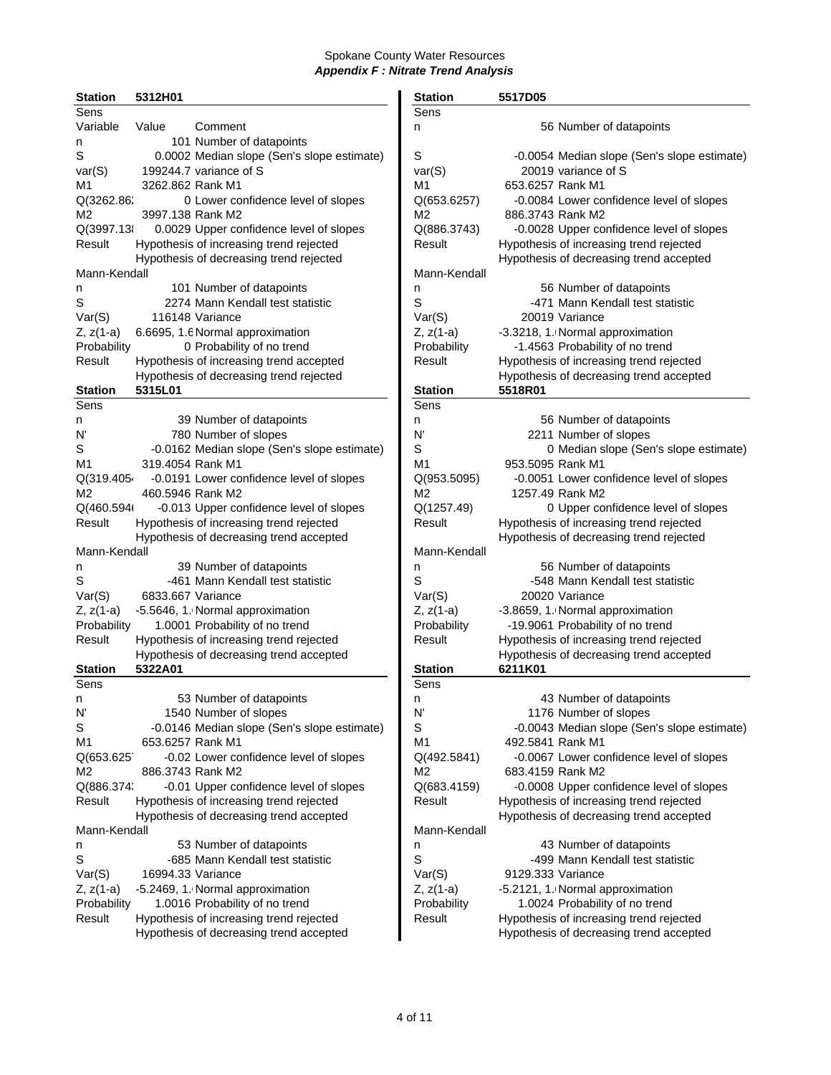| <b>Station</b>         | 5312H01           |                                             | <b>Station</b>         | 5517D05           |                                             |
|------------------------|-------------------|---------------------------------------------|------------------------|-------------------|---------------------------------------------|
| Sens                   |                   |                                             | Sens                   |                   |                                             |
| Variable               | Value             | Comment                                     | n                      |                   | 56 Number of datapoints                     |
| n                      |                   | 101 Number of datapoints                    |                        |                   |                                             |
| $\mathbb S$            |                   | 0.0002 Median slope (Sen's slope estimate)  | S                      |                   | -0.0054 Median slope (Sen's slope estimate) |
| var(S)                 |                   | 199244.7 variance of S                      | var(S)                 |                   | 20019 variance of S                         |
| M1                     | 3262.862 Rank M1  |                                             | M1                     | 653.6257 Rank M1  |                                             |
| Q(3262.86;             |                   | 0 Lower confidence level of slopes          | Q(653.6257)            |                   | -0.0084 Lower confidence level of slopes    |
| M <sub>2</sub>         | 3997.138 Rank M2  |                                             | M <sub>2</sub>         | 886.3743 Rank M2  |                                             |
| Q(3997.13              |                   | 0.0029 Upper confidence level of slopes     | Q(886.3743)            |                   | -0.0028 Upper confidence level of slopes    |
| Result                 |                   | Hypothesis of increasing trend rejected     | Result                 |                   | Hypothesis of increasing trend rejected     |
|                        |                   | Hypothesis of decreasing trend rejected     |                        |                   | Hypothesis of decreasing trend accepted     |
| Mann-Kendall           |                   |                                             | Mann-Kendall           |                   |                                             |
| n                      |                   | 101 Number of datapoints                    | n                      |                   | 56 Number of datapoints                     |
| $\mathbb S$            |                   | 2274 Mann Kendall test statistic            | S                      |                   | -471 Mann Kendall test statistic            |
| Var(S)                 |                   | 116148 Variance                             | Var(S)                 |                   | 20019 Variance                              |
| $Z, z(1-a)$            |                   | 6.6695, 1.6 Normal approximation            | $Z, z(1-a)$            |                   | -3.3218, 1. Normal approximation            |
| Probability            |                   | 0 Probability of no trend                   | Probability            |                   | -1.4563 Probability of no trend             |
| Result                 |                   | Hypothesis of increasing trend accepted     | Result                 |                   | Hypothesis of increasing trend rejected     |
|                        |                   |                                             |                        |                   |                                             |
|                        |                   | Hypothesis of decreasing trend rejected     |                        |                   | Hypothesis of decreasing trend accepted     |
| <b>Station</b><br>Sens | 5315L01           |                                             | <b>Station</b><br>Sens | 5518R01           |                                             |
|                        |                   |                                             |                        |                   |                                             |
| n                      |                   | 39 Number of datapoints                     | n                      |                   | 56 Number of datapoints                     |
| N'                     |                   | 780 Number of slopes                        | N'                     |                   | 2211 Number of slopes                       |
| S                      |                   | -0.0162 Median slope (Sen's slope estimate) | S                      |                   | 0 Median slope (Sen's slope estimate)       |
| M1                     | 319,4054 Rank M1  |                                             | M1                     | 953.5095 Rank M1  |                                             |
| Q(319.405)             |                   | -0.0191 Lower confidence level of slopes    | Q(953.5095)            |                   | -0.0051 Lower confidence level of slopes    |
| M2                     | 460.5946 Rank M2  |                                             | M <sub>2</sub>         | 1257.49 Rank M2   |                                             |
| Q(460.594)             |                   | -0.013 Upper confidence level of slopes     | Q(1257.49)             |                   | 0 Upper confidence level of slopes          |
| Result                 |                   | Hypothesis of increasing trend rejected     | Result                 |                   | Hypothesis of increasing trend rejected     |
|                        |                   | Hypothesis of decreasing trend accepted     |                        |                   | Hypothesis of decreasing trend rejected     |
| Mann-Kendall           |                   |                                             | Mann-Kendall           |                   |                                             |
| n                      |                   | 39 Number of datapoints                     | n                      |                   | 56 Number of datapoints                     |
| S                      |                   | -461 Mann Kendall test statistic            | S                      |                   | -548 Mann Kendall test statistic            |
| Var(S)                 | 6833.667 Variance |                                             | Var(S)                 |                   | 20020 Variance                              |
| $Z, z(1-a)$            |                   | -5.5646, 1. Normal approximation            | $Z, z(1-a)$            |                   | -3.8659, 1. Normal approximation            |
| Probability            |                   | 1.0001 Probability of no trend              | Probability            |                   | -19.9061 Probability of no trend            |
| Result                 |                   | Hypothesis of increasing trend rejected     | Result                 |                   | Hypothesis of increasing trend rejected     |
|                        |                   | Hypothesis of decreasing trend accepted     |                        |                   | Hypothesis of decreasing trend accepted     |
| <b>Station</b>         | 5322A01           |                                             | <b>Station</b>         | 6211K01           |                                             |
| Sens                   |                   |                                             | Sens                   |                   |                                             |
| n                      |                   | 53 Number of datapoints                     | n                      |                   | 43 Number of datapoints                     |
| N,                     |                   | 1540 Number of slopes                       | N'                     |                   | 1176 Number of slopes                       |
| S                      |                   | -0.0146 Median slope (Sen's slope estimate) | S                      |                   | -0.0043 Median slope (Sen's slope estimate) |
| M1                     | 653.6257 Rank M1  |                                             | M <sub>1</sub>         | 492.5841 Rank M1  |                                             |
| Q(653.625              |                   | -0.02 Lower confidence level of slopes      | Q(492.5841)            |                   | -0.0067 Lower confidence level of slopes    |
| M2                     | 886.3743 Rank M2  |                                             | M2                     | 683.4159 Rank M2  |                                             |
| Q(886.374;             |                   | -0.01 Upper confidence level of slopes      | Q(683.4159)            |                   | -0.0008 Upper confidence level of slopes    |
| Result                 |                   | Hypothesis of increasing trend rejected     | Result                 |                   | Hypothesis of increasing trend rejected     |
|                        |                   | Hypothesis of decreasing trend accepted     |                        |                   | Hypothesis of decreasing trend accepted     |
| Mann-Kendall           |                   |                                             | Mann-Kendall           |                   |                                             |
| n                      |                   | 53 Number of datapoints                     | n                      |                   | 43 Number of datapoints                     |
| S                      |                   | -685 Mann Kendall test statistic            | S                      |                   | -499 Mann Kendall test statistic            |
| Var(S)                 | 16994.33 Variance |                                             | Var(S)                 | 9129.333 Variance |                                             |
| $Z, z(1-a)$            |                   | -5.2469, 1. Normal approximation            | $Z, z(1-a)$            |                   | -5.2121, 1. Normal approximation            |
| Probability            |                   | 1.0016 Probability of no trend              | Probability            |                   | 1.0024 Probability of no trend              |
| Result                 |                   | Hypothesis of increasing trend rejected     | Result                 |                   | Hypothesis of increasing trend rejected     |
|                        |                   | Hypothesis of decreasing trend accepted     |                        |                   | Hypothesis of decreasing trend accepted     |
|                        |                   |                                             |                        |                   |                                             |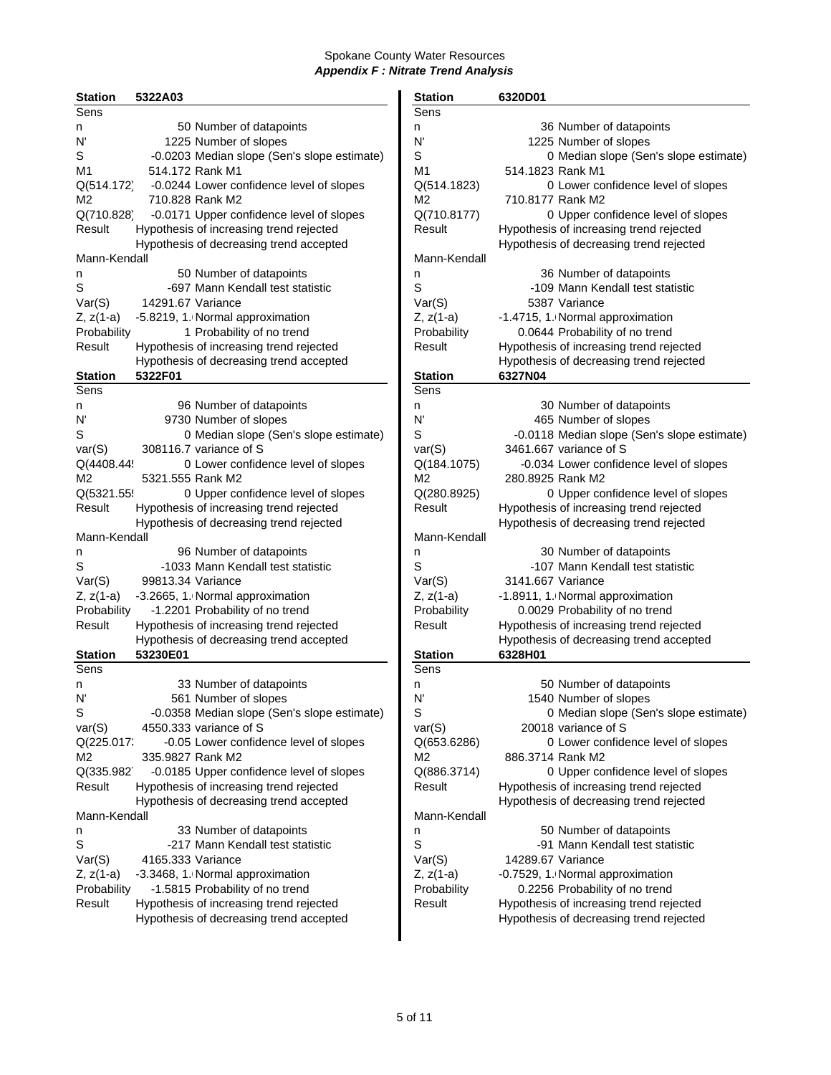| <b>Station</b> | 5322A03           |                                             | <b>Station</b> | 6320D01           |                                         |
|----------------|-------------------|---------------------------------------------|----------------|-------------------|-----------------------------------------|
| Sens           |                   |                                             | Sens           |                   |                                         |
| n              |                   | 50 Number of datapoints                     | n              |                   | 36 Number of datapoints                 |
| N'             |                   | 1225 Number of slopes                       | N'             |                   | 1225 Number of slopes                   |
| S              |                   | -0.0203 Median slope (Sen's slope estimate) | S              |                   | 0 Median slope (Sen's slope             |
| M1             |                   | 514.172 Rank M1                             | M1             | 514.1823 Rank M1  |                                         |
| Q(514.172)     |                   | -0.0244 Lower confidence level of slopes    | Q(514.1823)    |                   | 0 Lower confidence level of s           |
| M <sub>2</sub> |                   | 710.828 Rank M2                             | M2             | 710.8177 Rank M2  |                                         |
| Q(710.828)     |                   | -0.0171 Upper confidence level of slopes    | Q(710.8177)    |                   | 0 Upper confidence level of s           |
| Result         |                   | Hypothesis of increasing trend rejected     | Result         |                   | Hypothesis of increasing trend rejected |
|                |                   |                                             |                |                   | Hypothesis of decreasing trend rejected |
|                |                   | Hypothesis of decreasing trend accepted     | Mann-Kendall   |                   |                                         |
| Mann-Kendall   |                   |                                             |                |                   |                                         |
| n              |                   | 50 Number of datapoints                     | n              |                   | 36 Number of datapoints                 |
| S              |                   | -697 Mann Kendall test statistic            | S              |                   | -109 Mann Kendall test statistic        |
| Var(S)         | 14291.67 Variance |                                             | Var(S)         |                   | 5387 Variance                           |
| $Z, z(1-a)$    |                   | -5.8219, 1. Normal approximation            | $Z, z(1-a)$    |                   | -1.4715, 1. Normal approximation        |
| Probability    |                   | 1 Probability of no trend                   | Probability    |                   | 0.0644 Probability of no trend          |
| Result         |                   | Hypothesis of increasing trend rejected     | Result         |                   | Hypothesis of increasing trend rejected |
|                |                   | Hypothesis of decreasing trend accepted     |                |                   | Hypothesis of decreasing trend rejecte  |
| <b>Station</b> | 5322F01           |                                             | <b>Station</b> | 6327N04           |                                         |
| Sens           |                   |                                             | Sens           |                   |                                         |
| n              |                   | 96 Number of datapoints                     | n              |                   | 30 Number of datapoints                 |
| N'             |                   | 9730 Number of slopes                       | N'             |                   | 465 Number of slopes                    |
| S              |                   | 0 Median slope (Sen's slope estimate)       | S              |                   | -0.0118 Median slope (Sen's slope       |
| var(S)         |                   | 308116.7 variance of S                      | var(S)         |                   | 3461.667 variance of S                  |
| Q(4408.44!     |                   | 0 Lower confidence level of slopes          | Q(184.1075)    |                   | -0.034 Lower confidence level of s      |
| M <sub>2</sub> | 5321.555 Rank M2  |                                             | M2             | 280.8925 Rank M2  |                                         |
| Q(5321.55      |                   | 0 Upper confidence level of slopes          | Q(280.8925)    |                   | 0 Upper confidence level of s           |
| Result         |                   | Hypothesis of increasing trend rejected     | Result         |                   | Hypothesis of increasing trend rejected |
|                |                   | Hypothesis of decreasing trend rejected     |                |                   | Hypothesis of decreasing trend rejecte  |
| Mann-Kendall   |                   |                                             | Mann-Kendall   |                   |                                         |
| n              |                   | 96 Number of datapoints                     | n              |                   | 30 Number of datapoints                 |
| S              |                   | -1033 Mann Kendall test statistic           | S              |                   | -107 Mann Kendall test statistic        |
| Var(S)         | 99813.34 Variance |                                             | Var(S)         | 3141.667 Variance |                                         |
| Z, z(1-a)      |                   | -3.2665, 1. Normal approximation            | $Z, z(1-a)$    |                   | -1.8911, 1. Normal approximation        |
| Probability    |                   | -1.2201 Probability of no trend             | Probability    |                   | 0.0029 Probability of no trend          |
| Result         |                   | Hypothesis of increasing trend rejected     | Result         |                   | Hypothesis of increasing trend rejected |
|                |                   | Hypothesis of decreasing trend accepted     |                |                   |                                         |
|                | 53230E01          |                                             |                | 6328H01           | Hypothesis of decreasing trend accepte  |
| <b>Station</b> |                   |                                             | <b>Station</b> |                   |                                         |
| Sens           |                   |                                             | Sens           |                   |                                         |
| n              |                   | 33 Number of datapoints                     | n              |                   | 50 Number of datapoints                 |
| N'             |                   | 561 Number of slopes                        | N              |                   | 1540 Number of slopes                   |
| S              |                   | -0.0358 Median slope (Sen's slope estimate) | S              |                   | 0 Median slope (Sen's slope             |
| var(S)         |                   | 4550.333 variance of S                      | var(S)         |                   | 20018 variance of S                     |
| Q(225.017;     |                   | -0.05 Lower confidence level of slopes      | Q(653.6286)    |                   | 0 Lower confidence level of s           |
| М2             | 335.9827 Rank M2  |                                             | M2             | 886.3714 Rank M2  |                                         |
| Q(335.982      |                   | -0.0185 Upper confidence level of slopes    | Q(886.3714)    |                   | 0 Upper confidence level of s           |
| Result         |                   | Hypothesis of increasing trend rejected     | Result         |                   | Hypothesis of increasing trend rejected |
|                |                   | Hypothesis of decreasing trend accepted     |                |                   | Hypothesis of decreasing trend rejected |
| Mann-Kendall   |                   |                                             | Mann-Kendall   |                   |                                         |
| n              |                   | 33 Number of datapoints                     | n              |                   | 50 Number of datapoints                 |
| S              |                   | -217 Mann Kendall test statistic            | S              |                   | -91 Mann Kendall test statistic         |
| Var(S)         | 4165.333 Variance |                                             | Var(S)         | 14289.67 Variance |                                         |
| Z, z(1-a)      |                   | -3.3468, 1. Normal approximation            | $Z, z(1-a)$    |                   | -0.7529, 1. Normal approximation        |
| Probability    |                   | -1.5815 Probability of no trend             | Probability    |                   | 0.2256 Probability of no trend          |
| Result         |                   | Hypothesis of increasing trend rejected     | Result         |                   | Hypothesis of increasing trend rejected |
|                |                   | Hypothesis of decreasing trend accepted     |                |                   | Hypothesis of decreasing trend rejecte  |
|                |                   |                                             |                |                   |                                         |

| <b>Station</b>  | 5322A03                                     | <b>Station</b> | 6320D01                                            |
|-----------------|---------------------------------------------|----------------|----------------------------------------------------|
| Sens            |                                             | Sens           |                                                    |
| n               | 50 Number of datapoints                     | n              | 36 Number of datapoints                            |
| N'              | 1225 Number of slopes                       | N'             | 1225 Number of slopes                              |
| S               | -0.0203 Median slope (Sen's slope estimate) | S              | 0 Median slope (Sen's slope estimate)              |
| M1              | 514.172 Rank M1                             | M <sub>1</sub> | 514.1823 Rank M1                                   |
| Q(514.172)      | -0.0244 Lower confidence level of slopes    | Q(514.1823)    | 0 Lower confidence level of slopes                 |
| М2              | 710.828 Rank M2                             | M <sub>2</sub> | 710.8177 Rank M2                                   |
| Q(710.828)      | -0.0171 Upper confidence level of slopes    | Q(710.8177)    | 0 Upper confidence level of slopes                 |
| Result          | Hypothesis of increasing trend rejected     | Result         | Hypothesis of increasing trend rejected            |
|                 | Hypothesis of decreasing trend accepted     |                | Hypothesis of decreasing trend rejected            |
| Mann-Kendall    |                                             | Mann-Kendall   |                                                    |
| n               | 50 Number of datapoints                     | n              | 36 Number of datapoints                            |
| S               | -697 Mann Kendall test statistic            | S              | -109 Mann Kendall test statistic                   |
| Var(S)          | 14291.67 Variance                           | Var(S)         | 5387 Variance                                      |
| Z, z(1-a)       | -5.8219, 1. Normal approximation            | $Z, z(1-a)$    | -1.4715, 1. Normal approximation                   |
| Probability     | 1 Probability of no trend                   | Probability    | 0.0644 Probability of no trend                     |
| Result          | Hypothesis of increasing trend rejected     | Result         | Hypothesis of increasing trend rejected            |
|                 | Hypothesis of decreasing trend accepted     |                | Hypothesis of decreasing trend rejected            |
| <b>Station</b>  | 5322F01                                     | <b>Station</b> | 6327N04                                            |
| Sens            |                                             | Sens           |                                                    |
| n               | 96 Number of datapoints                     | n              | 30 Number of datapoints                            |
| N'              | 9730 Number of slopes                       | N'             | 465 Number of slopes                               |
| S               | 0 Median slope (Sen's slope estimate)       | S              | -0.0118 Median slope (Sen's slope estimate)        |
| var(S)          | 308116.7 variance of S                      | var(S)         | 3461.667 variance of S                             |
| Q(4408.44!      | 0 Lower confidence level of slopes          | Q(184.1075)    | -0.034 Lower confidence level of slopes            |
| М2              | 5321.555 Rank M2                            | M <sub>2</sub> | 280.8925 Rank M2                                   |
| Q(5321.55       | 0 Upper confidence level of slopes          | Q(280.8925)    | 0 Upper confidence level of slopes                 |
| Result          | Hypothesis of increasing trend rejected     | Result         | Hypothesis of increasing trend rejected            |
|                 | Hypothesis of decreasing trend rejected     |                | Hypothesis of decreasing trend rejected            |
| Mann-Kendall    |                                             | Mann-Kendall   |                                                    |
| n               | 96 Number of datapoints                     | n              | 30 Number of datapoints                            |
| S               | -1033 Mann Kendall test statistic           | S              | -107 Mann Kendall test statistic                   |
| Var(S)          | 99813.34 Variance                           | Var(S)         | 3141.667 Variance                                  |
| Z, z(1-a)       | -3.2665, 1. Normal approximation            | $Z, z(1-a)$    | -1.8911, 1. Normal approximation                   |
| Probability     | -1.2201 Probability of no trend             | Probability    | 0.0029 Probability of no trend                     |
| Result          | Hypothesis of increasing trend rejected     | Result         | Hypothesis of increasing trend rejected            |
|                 |                                             |                |                                                    |
|                 | Hypothesis of decreasing trend accepted     |                | Hypothesis of decreasing trend accepted<br>6328H01 |
| Station<br>Sens | 53230E01                                    | <b>Station</b> |                                                    |
|                 |                                             | Sens           |                                                    |
| n               | 33 Number of datapoints                     | n              | 50 Number of datapoints                            |
| N'              | 561 Number of slopes                        | N'             | 1540 Number of slopes                              |
| S               | -0.0358 Median slope (Sen's slope estimate) | S              | 0 Median slope (Sen's slope estimate)              |
| var(S)          | 4550.333 variance of S                      | var(S)         | 20018 variance of S                                |
| Q(225.017:      | -0.05 Lower confidence level of slopes      | Q(653.6286)    | 0 Lower confidence level of slopes                 |
| М2              | 335.9827 Rank M2                            | M2             | 886.3714 Rank M2                                   |
| Q(335.982       | -0.0185 Upper confidence level of slopes    | Q(886.3714)    | 0 Upper confidence level of slopes                 |
| Result          | Hypothesis of increasing trend rejected     | Result         | Hypothesis of increasing trend rejected            |
|                 | Hypothesis of decreasing trend accepted     |                | Hypothesis of decreasing trend rejected            |
| Mann-Kendall    |                                             | Mann-Kendall   |                                                    |
| n               | 33 Number of datapoints                     | n              | 50 Number of datapoints                            |
| S               | -217 Mann Kendall test statistic            | S              | -91 Mann Kendall test statistic                    |
| Var(S)          | 4165.333 Variance                           | Var(S)         | 14289.67 Variance                                  |
| Z, z(1-a)       | -3.3468, 1. Normal approximation            | $Z, z(1-a)$    | -0.7529, 1. Normal approximation                   |
| Probability     | -1.5815 Probability of no trend             | Probability    | 0.2256 Probability of no trend                     |
| Result          | Hypothesis of increasing trend rejected     | Result         | Hypothesis of increasing trend rejected            |
|                 | Hypothesis of decreasing trend accepted     |                | Hypothesis of decreasing trend rejected            |
|                 |                                             |                |                                                    |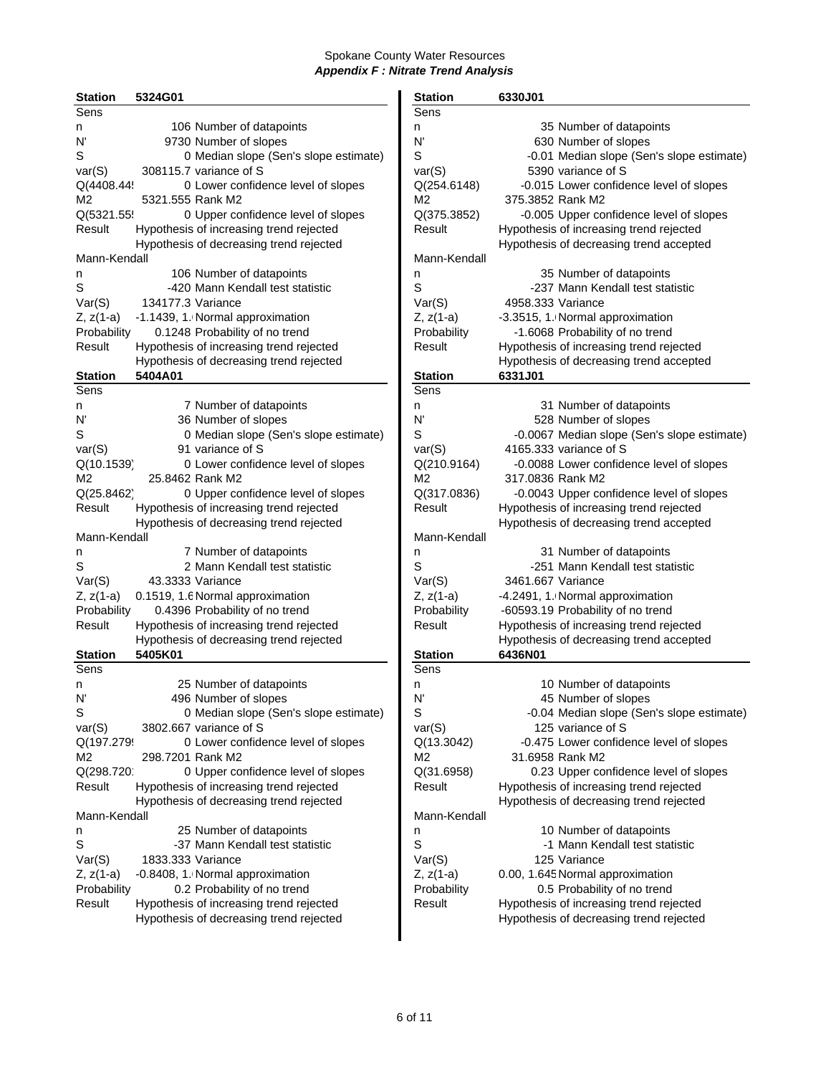| <b>Station</b> | 5324G01           |                                         | <b>Station</b> | 6330J01                                 |
|----------------|-------------------|-----------------------------------------|----------------|-----------------------------------------|
| <b>Sens</b>    |                   |                                         | Sens           |                                         |
| n              |                   | 106 Number of datapoints                | n              | 35 Number of datapoints                 |
| N'             |                   | 9730 Number of slopes                   | N'             | 630 Number of slopes                    |
| S              |                   | 0 Median slope (Sen's slope estimate)   | S              | -0.01 Median slope (Sen's slope         |
| var(S)         |                   | 308115.7 variance of S                  | var(S)         | 5390 variance of S                      |
| Q(4408.44!     |                   | 0 Lower confidence level of slopes      | Q(254.6148)    | -0.015 Lower confidence level of s      |
| М2             |                   | 5321.555 Rank M2                        | M2             | 375.3852 Rank M2                        |
| Q(5321.55      |                   | 0 Upper confidence level of slopes      | Q(375.3852)    | -0.005 Upper confidence level of s      |
| Result         |                   | Hypothesis of increasing trend rejected | Result         | Hypothesis of increasing trend rejected |
|                |                   | Hypothesis of decreasing trend rejected |                | Hypothesis of decreasing trend accept   |
| Mann-Kendall   |                   |                                         | Mann-Kendall   |                                         |
| n              |                   | 106 Number of datapoints                | n              | 35 Number of datapoints                 |
| S              |                   | -420 Mann Kendall test statistic        | S              | -237 Mann Kendall test statistic        |
| Var(S)         | 134177.3 Variance |                                         | Var(S)         | 4958.333 Variance                       |
| Z, z(1-a)      |                   | -1.1439, 1. Normal approximation        | $Z, z(1-a)$    | -3.3515, 1. Normal approximation        |
| Probability    |                   | 0.1248 Probability of no trend          | Probability    | -1.6068 Probability of no trend         |
| Result         |                   | Hypothesis of increasing trend rejected | Result         | Hypothesis of increasing trend rejected |
|                |                   | Hypothesis of decreasing trend rejected |                | Hypothesis of decreasing trend accept   |
| <b>Station</b> | 5404A01           |                                         | <b>Station</b> | 6331J01                                 |
| Sens           |                   |                                         | Sens           |                                         |
|                |                   | 7 Number of datapoints                  |                | 31 Number of datapoints                 |
| n<br>N'        |                   | 36 Number of slopes                     | n<br>N'        |                                         |
| S              |                   |                                         | S              | 528 Number of slopes                    |
|                |                   | 0 Median slope (Sen's slope estimate)   |                | -0.0067 Median slope (Sen's slope       |
| var(S)         |                   | 91 variance of S                        | var(S)         | 4165.333 variance of S                  |
| Q(10.1539)     |                   | 0 Lower confidence level of slopes      | Q(210.9164)    | -0.0088 Lower confidence level of s     |
| M <sub>2</sub> |                   | 25.8462 Rank M2                         | M2             | 317.0836 Rank M2                        |
| Q(25.8462)     |                   | 0 Upper confidence level of slopes      | Q(317.0836)    | -0.0043 Upper confidence level of s     |
| Result         |                   | Hypothesis of increasing trend rejected | Result         | Hypothesis of increasing trend rejected |
|                |                   | Hypothesis of decreasing trend rejected |                | Hypothesis of decreasing trend accept   |
| Mann-Kendall   |                   |                                         | Mann-Kendall   |                                         |
| n              |                   | 7 Number of datapoints                  | n              | 31 Number of datapoints                 |
| S              |                   | 2 Mann Kendall test statistic           | S              | -251 Mann Kendall test statistic        |
| Var(S)         |                   | 43.3333 Variance                        | Var(S)         | 3461.667 Variance                       |
| Z, z(1-a)      |                   | 0.1519, 1.6 Normal approximation        | $Z, z(1-a)$    | -4.2491, 1. Normal approximation        |
| Probability    |                   | 0.4396 Probability of no trend          | Probability    | -60593.19 Probability of no trend       |
| Result         |                   | Hypothesis of increasing trend rejected | Result         | Hypothesis of increasing trend rejected |
|                |                   | Hypothesis of decreasing trend rejected |                | Hypothesis of decreasing trend accept   |
| <b>Station</b> | 5405K01           |                                         | <b>Station</b> | 6436N01                                 |
| Sens           |                   |                                         | Sens           |                                         |
| n              |                   | 25 Number of datapoints                 | n              | 10 Number of datapoints                 |
| N'             |                   | 496 Number of slopes                    | N'             | 45 Number of slopes                     |
| S              |                   | 0 Median slope (Sen's slope estimate)   | S              | -0.04 Median slope (Sen's slope         |
| var(S)         |                   | 3802.667 variance of S                  | var(S)         | 125 variance of S                       |
| Q(197.279      |                   | 0 Lower confidence level of slopes      | Q(13.3042)     | -0.475 Lower confidence level of s      |
| М2             | 298.7201 Rank M2  |                                         | M2             | 31.6958 Rank M2                         |
| Q(298.720      |                   | 0 Upper confidence level of slopes      | Q(31.6958)     | 0.23 Upper confidence level of s        |
| Result         |                   | Hypothesis of increasing trend rejected | Result         | Hypothesis of increasing trend rejected |
|                |                   | Hypothesis of decreasing trend rejected |                | Hypothesis of decreasing trend rejected |
| Mann-Kendall   |                   |                                         | Mann-Kendall   |                                         |
| n              |                   | 25 Number of datapoints                 | n              | 10 Number of datapoints                 |
| S              |                   | -37 Mann Kendall test statistic         | S              | -1 Mann Kendall test statistic          |
| Var(S)         | 1833.333 Variance |                                         | Var(S)         | 125 Variance                            |
| Z, z(1-a)      |                   | -0.8408, 1. Normal approximation        | $Z, z(1-a)$    | 0.00, 1.645 Normal approximation        |
| Probability    |                   | 0.2 Probability of no trend             | Probability    | 0.5 Probability of no trend             |
| Result         |                   | Hypothesis of increasing trend rejected | Result         | Hypothesis of increasing trend rejected |
|                |                   | Hypothesis of decreasing trend rejected |                | Hypothesis of decreasing trend rejected |

| <b>Station</b> | 5324G01           |                                         | <b>Station</b>         | 6330J01                                            |
|----------------|-------------------|-----------------------------------------|------------------------|----------------------------------------------------|
| Sens           |                   |                                         | Sens                   |                                                    |
| n              |                   | 106 Number of datapoints                | n                      | 35 Number of datapoints                            |
| N'             |                   | 9730 Number of slopes                   | N                      | 630 Number of slopes                               |
| S              |                   | 0 Median slope (Sen's slope estimate)   | $\mathsf S$            | -0.01 Median slope (Sen's slope estimate)          |
| var(S)         |                   | 308115.7 variance of S                  | var(S)                 | 5390 variance of S                                 |
| Q(4408.44!     |                   | 0 Lower confidence level of slopes      | Q(254.6148)            | -0.015 Lower confidence level of slopes            |
| М2             | 5321.555 Rank M2  |                                         | M2                     | 375.3852 Rank M2                                   |
| Q(5321.55      |                   | 0 Upper confidence level of slopes      | Q(375.3852)            | -0.005 Upper confidence level of slopes            |
| Result         |                   | Hypothesis of increasing trend rejected | Result                 | Hypothesis of increasing trend rejected            |
|                |                   | Hypothesis of decreasing trend rejected |                        | Hypothesis of decreasing trend accepted            |
| Mann-Kendall   |                   |                                         | Mann-Kendall           |                                                    |
|                |                   | 106 Number of datapoints                |                        | 35 Number of datapoints                            |
| n              |                   |                                         | n                      |                                                    |
| S              |                   | -420 Mann Kendall test statistic        | S                      | -237 Mann Kendall test statistic                   |
| Var(S)         | 134177.3 Variance |                                         | Var(S)                 | 4958.333 Variance                                  |
| Z, z(1-a)      |                   | -1.1439, 1. Normal approximation        | $Z, z(1-a)$            | -3.3515, 1. Normal approximation                   |
| Probability    |                   | 0.1248 Probability of no trend          | Probability            | -1.6068 Probability of no trend                    |
| Result         |                   | Hypothesis of increasing trend rejected | Result                 | Hypothesis of increasing trend rejected            |
|                |                   | Hypothesis of decreasing trend rejected |                        | Hypothesis of decreasing trend accepted            |
| <b>Station</b> | 5404A01           |                                         | <b>Station</b>         | 6331J01                                            |
| Sens           |                   |                                         | Sens                   |                                                    |
| n              |                   | 7 Number of datapoints                  | n                      | 31 Number of datapoints                            |
| N'             |                   | 36 Number of slopes                     | N                      | 528 Number of slopes                               |
| S              |                   | 0 Median slope (Sen's slope estimate)   | S                      | -0.0067 Median slope (Sen's slope estimate)        |
| var(S)         |                   | 91 variance of S                        | var(S)                 | 4165.333 variance of S                             |
| Q(10.1539)     |                   | 0 Lower confidence level of slopes      | Q(210.9164)            | -0.0088 Lower confidence level of slopes           |
| М2             |                   | 25.8462 Rank M2                         | M <sub>2</sub>         | 317.0836 Rank M2                                   |
| Q(25.8462)     |                   | 0 Upper confidence level of slopes      | Q(317.0836)            | -0.0043 Upper confidence level of slopes           |
| Result         |                   | Hypothesis of increasing trend rejected | Result                 | Hypothesis of increasing trend rejected            |
|                |                   | Hypothesis of decreasing trend rejected |                        | Hypothesis of decreasing trend accepted            |
| Mann-Kendall   |                   |                                         | Mann-Kendall           |                                                    |
| n              |                   | 7 Number of datapoints                  | n                      | 31 Number of datapoints                            |
| S              |                   | 2 Mann Kendall test statistic           | S                      | -251 Mann Kendall test statistic                   |
| Var(S)         |                   | 43.3333 Variance                        | Var(S)                 | 3461.667 Variance                                  |
| Z, z(1-a)      |                   | 0.1519, 1.6 Normal approximation        | $Z, z(1-a)$            | -4.2491, 1. Normal approximation                   |
| Probability    |                   | 0.4396 Probability of no trend          | Probability            | -60593.19 Probability of no trend                  |
| Result         |                   | Hypothesis of increasing trend rejected | Result                 | Hypothesis of increasing trend rejected            |
|                |                   | Hypothesis of decreasing trend rejected |                        |                                                    |
|                | 5405K01           |                                         |                        | Hypothesis of decreasing trend accepted<br>6436N01 |
| <b>Station</b> |                   |                                         | <b>Station</b><br>Sens |                                                    |
| Sens           |                   |                                         |                        |                                                    |
| n              |                   | 25 Number of datapoints                 | n                      | 10 Number of datapoints                            |
| N'             |                   | 496 Number of slopes                    | N'                     | 45 Number of slopes                                |
| S              |                   | 0 Median slope (Sen's slope estimate)   | S                      | -0.04 Median slope (Sen's slope estimate)          |
| var(S)         |                   | 3802.667 variance of S                  | var(S)                 | 125 variance of S                                  |
| Q(197.279!     |                   | 0 Lower confidence level of slopes      | Q(13.3042)             | -0.475 Lower confidence level of slopes            |
| М2             | 298.7201 Rank M2  |                                         | M2                     | 31.6958 Rank M2                                    |
| Q(298.720      |                   | 0 Upper confidence level of slopes      | Q(31.6958)             | 0.23 Upper confidence level of slopes              |
| Result         |                   | Hypothesis of increasing trend rejected | Result                 | Hypothesis of increasing trend rejected            |
|                |                   | Hypothesis of decreasing trend rejected |                        | Hypothesis of decreasing trend rejected            |
| Mann-Kendall   |                   |                                         | Mann-Kendall           |                                                    |
| n              |                   | 25 Number of datapoints                 | n                      | 10 Number of datapoints                            |
| S              |                   | -37 Mann Kendall test statistic         | S                      | -1 Mann Kendall test statistic                     |
| Var(S)         | 1833.333 Variance |                                         | Var(S)                 | 125 Variance                                       |
| Z, z(1-a)      |                   | -0.8408, 1. Normal approximation        | $Z, z(1-a)$            | 0.00, 1.645 Normal approximation                   |
| Probability    |                   | 0.2 Probability of no trend             | Probability            | 0.5 Probability of no trend                        |
| Result         |                   | Hypothesis of increasing trend rejected | Result                 | Hypothesis of increasing trend rejected            |
|                |                   | Hypothesis of decreasing trend rejected |                        | Hypothesis of decreasing trend rejected            |
|                |                   |                                         |                        |                                                    |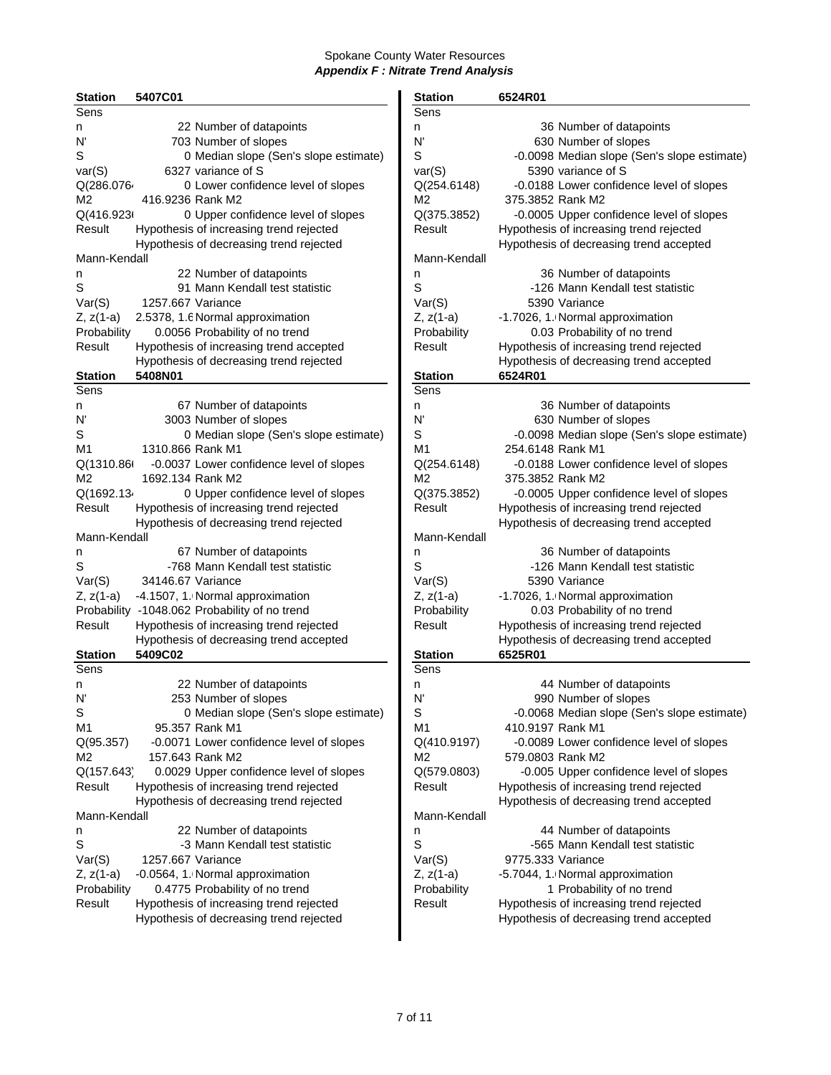| <b>Station</b> | 5407C01           |                                               | <b>Station</b> | 6524R01           |                                         |
|----------------|-------------------|-----------------------------------------------|----------------|-------------------|-----------------------------------------|
| <b>Sens</b>    |                   |                                               | Sens           |                   |                                         |
| n              |                   | 22 Number of datapoints                       | n              |                   | 36 Number of datapoints                 |
| N'             |                   | 703 Number of slopes                          | N'             |                   | 630 Number of slopes                    |
| S              |                   | 0 Median slope (Sen's slope estimate)         | S              |                   | -0.0098 Median slope (Sen's slope       |
| var(S)         |                   | 6327 variance of S                            | var(S)         |                   | 5390 variance of S                      |
| Q(286.076      |                   | 0 Lower confidence level of slopes            | Q(254.6148)    |                   | -0.0188 Lower confidence level of s     |
| M2             | 416.9236 Rank M2  |                                               | M2             | 375.3852 Rank M2  |                                         |
|                |                   |                                               |                |                   |                                         |
| Q(416.923)     |                   | 0 Upper confidence level of slopes            | Q(375.3852)    |                   | -0.0005 Upper confidence level of s     |
| Result         |                   | Hypothesis of increasing trend rejected       | Result         |                   | Hypothesis of increasing trend rejected |
|                |                   | Hypothesis of decreasing trend rejected       |                |                   | Hypothesis of decreasing trend accept   |
| Mann-Kendall   |                   |                                               | Mann-Kendall   |                   |                                         |
| n              |                   | 22 Number of datapoints                       | n              |                   | 36 Number of datapoints                 |
| $\rm S$        |                   | 91 Mann Kendall test statistic                | S              |                   | -126 Mann Kendall test statistic        |
| Var(S)         | 1257.667 Variance |                                               | Var(S)         |                   | 5390 Variance                           |
| Z, z(1-a)      |                   | 2.5378, 1.6 Normal approximation              | $Z, z(1-a)$    |                   | -1.7026, 1. Normal approximation        |
| Probability    |                   | 0.0056 Probability of no trend                | Probability    |                   | 0.03 Probability of no trend            |
| Result         |                   | Hypothesis of increasing trend accepted       | Result         |                   | Hypothesis of increasing trend rejected |
|                |                   | Hypothesis of decreasing trend rejected       |                |                   | Hypothesis of decreasing trend accept   |
| <b>Station</b> | 5408N01           |                                               | <b>Station</b> | 6524R01           |                                         |
| Sens           |                   |                                               | Sens           |                   |                                         |
| n              |                   | 67 Number of datapoints                       | n              |                   | 36 Number of datapoints                 |
| N'             |                   | 3003 Number of slopes                         | N'             |                   | 630 Number of slopes                    |
| S              |                   |                                               | $\mathsf S$    |                   | -0.0098 Median slope (Sen's slope       |
|                |                   | 0 Median slope (Sen's slope estimate)         |                |                   |                                         |
| M1             | 1310.866 Rank M1  |                                               | M1             | 254.6148 Rank M1  |                                         |
| Q(1310.86(     |                   | -0.0037 Lower confidence level of slopes      | Q(254.6148)    |                   | -0.0188 Lower confidence level of s     |
| M <sub>2</sub> | 1692.134 Rank M2  |                                               | M <sub>2</sub> | 375.3852 Rank M2  |                                         |
| Q(1692.134     |                   | 0 Upper confidence level of slopes            | Q(375.3852)    |                   | -0.0005 Upper confidence level of s     |
| Result         |                   | Hypothesis of increasing trend rejected       | Result         |                   | Hypothesis of increasing trend rejected |
|                |                   | Hypothesis of decreasing trend rejected       |                |                   | Hypothesis of decreasing trend accept   |
| Mann-Kendall   |                   |                                               | Mann-Kendall   |                   |                                         |
| n              |                   | 67 Number of datapoints                       | n              |                   | 36 Number of datapoints                 |
| S              |                   | -768 Mann Kendall test statistic              | S              |                   | -126 Mann Kendall test statistic        |
| Var(S)         | 34146.67 Variance |                                               | Var(S)         |                   | 5390 Variance                           |
| Z, z(1-a)      |                   | -4.1507, 1. Normal approximation              | $Z, z(1-a)$    |                   | -1.7026, 1. Normal approximation        |
|                |                   | Probability -1048.062 Probability of no trend | Probability    |                   | 0.03 Probability of no trend            |
| Result         |                   | Hypothesis of increasing trend rejected       | Result         |                   | Hypothesis of increasing trend rejected |
|                |                   | Hypothesis of decreasing trend accepted       |                |                   | Hypothesis of decreasing trend accept   |
| <b>Station</b> | 5409C02           |                                               | <b>Station</b> | 6525R01           |                                         |
| Sens           |                   |                                               | Sens           |                   |                                         |
| n              |                   | 22 Number of datapoints                       | n              |                   | 44 Number of datapoints                 |
| N'             |                   | 253 Number of slopes                          | N'             |                   | 990 Number of slopes                    |
|                |                   |                                               | S              |                   |                                         |
| S              |                   | 0 Median slope (Sen's slope estimate)         |                |                   | -0.0068 Median slope (Sen's slope       |
| M1             |                   | 95.357 Rank M1                                | M <sub>1</sub> | 410.9197 Rank M1  |                                         |
| Q(95.357)      |                   | -0.0071 Lower confidence level of slopes      | Q(410.9197)    |                   | -0.0089 Lower confidence level of s     |
| M2             |                   | 157.643 Rank M2                               | M2             | 579.0803 Rank M2  |                                         |
| Q(157.643)     |                   | 0.0029 Upper confidence level of slopes       | Q(579.0803)    |                   | -0.005 Upper confidence level of s      |
| Result         |                   | Hypothesis of increasing trend rejected       | Result         |                   | Hypothesis of increasing trend rejected |
|                |                   | Hypothesis of decreasing trend rejected       |                |                   | Hypothesis of decreasing trend accepte  |
| Mann-Kendall   |                   |                                               | Mann-Kendall   |                   |                                         |
| n              |                   | 22 Number of datapoints                       | n              |                   | 44 Number of datapoints                 |
| S              |                   | -3 Mann Kendall test statistic                | S              |                   | -565 Mann Kendall test statistic        |
| Var(S)         | 1257.667 Variance |                                               | Var(S)         | 9775.333 Variance |                                         |
| Z, z(1-a)      |                   | -0.0564, 1. Normal approximation              | $Z, z(1-a)$    |                   | -5.7044, 1. Normal approximation        |
| Probability    |                   | 0.4775 Probability of no trend                | Probability    |                   | 1 Probability of no trend               |
| Result         |                   | Hypothesis of increasing trend rejected       | Result         |                   | Hypothesis of increasing trend rejected |
|                |                   | Hypothesis of decreasing trend rejected       |                |                   | Hypothesis of decreasing trend accepte  |
|                |                   |                                               |                |                   |                                         |

| <b>Station</b>       | 5407C01           |                                                             | <b>Station</b>    | 6524R01                                                                            |
|----------------------|-------------------|-------------------------------------------------------------|-------------------|------------------------------------------------------------------------------------|
| Sens                 |                   |                                                             | Sens              |                                                                                    |
| n                    |                   | 22 Number of datapoints                                     | n                 | 36 Number of datapoints                                                            |
| N'                   |                   | 703 Number of slopes                                        | N'                | 630 Number of slopes                                                               |
| S                    |                   | 0 Median slope (Sen's slope estimate)                       | S                 | -0.0098 Median slope (Sen's slope estimate)                                        |
| var(S)               |                   | 6327 variance of S                                          | var(S)            | 5390 variance of S                                                                 |
| Q(286.0764           |                   | 0 Lower confidence level of slopes                          | Q(254.6148)       | -0.0188 Lower confidence level of slopes                                           |
| М2                   | 416.9236 Rank M2  |                                                             | M2                | 375.3852 Rank M2                                                                   |
| Q(416.923)           |                   | 0 Upper confidence level of slopes                          | Q(375.3852)       | -0.0005 Upper confidence level of slopes                                           |
| Result               |                   | Hypothesis of increasing trend rejected                     | Result            | Hypothesis of increasing trend rejected                                            |
|                      |                   | Hypothesis of decreasing trend rejected                     |                   | Hypothesis of decreasing trend accepted                                            |
| Mann-Kendall         |                   |                                                             | Mann-Kendall      |                                                                                    |
| n                    |                   | 22 Number of datapoints                                     | n                 | 36 Number of datapoints                                                            |
| S                    |                   | 91 Mann Kendall test statistic                              | S                 | -126 Mann Kendall test statistic                                                   |
| Var(S)               | 1257.667 Variance |                                                             | Var(S)            | 5390 Variance                                                                      |
| Z, z(1-a)            |                   | 2.5378, 1.6 Normal approximation                            | $Z, z(1-a)$       | -1.7026, 1. Normal approximation                                                   |
| Probability          |                   | 0.0056 Probability of no trend                              | Probability       | 0.03 Probability of no trend                                                       |
| Result               |                   | Hypothesis of increasing trend accepted                     | Result            | Hypothesis of increasing trend rejected                                            |
|                      |                   | Hypothesis of decreasing trend rejected                     |                   | Hypothesis of decreasing trend accepted                                            |
| Station              | 5408N01           |                                                             | <b>Station</b>    | 6524R01                                                                            |
| Sens                 |                   |                                                             | Sens              |                                                                                    |
| n                    |                   | 67 Number of datapoints                                     | n                 | 36 Number of datapoints                                                            |
| N'                   |                   | 3003 Number of slopes                                       | N'                | 630 Number of slopes                                                               |
| S                    |                   | 0 Median slope (Sen's slope estimate)                       | S                 | -0.0098 Median slope (Sen's slope estimate)                                        |
| M1                   | 1310.866 Rank M1  |                                                             | M <sub>1</sub>    | 254.6148 Rank M1                                                                   |
| Q(1310.86(           |                   | -0.0037 Lower confidence level of slopes                    | Q(254.6148)       | -0.0188 Lower confidence level of slopes                                           |
| М2                   | 1692.134 Rank M2  |                                                             | M2                | 375.3852 Rank M2                                                                   |
| Q(1692.134           |                   | 0 Upper confidence level of slopes                          | Q(375.3852)       | -0.0005 Upper confidence level of slopes                                           |
| Result               |                   | Hypothesis of increasing trend rejected                     | Result            | Hypothesis of increasing trend rejected                                            |
|                      |                   | Hypothesis of decreasing trend rejected                     |                   | Hypothesis of decreasing trend accepted                                            |
| Mann-Kendall         |                   |                                                             | Mann-Kendall      |                                                                                    |
| n                    |                   | 67 Number of datapoints                                     | n                 | 36 Number of datapoints                                                            |
| S                    |                   | -768 Mann Kendall test statistic                            | S                 | -126 Mann Kendall test statistic                                                   |
| Var(S)               | 34146.67 Variance |                                                             | Var(S)            | 5390 Variance                                                                      |
| Z, z(1-a)            |                   | -4.1507, 1. Normal approximation                            | $Z, z(1-a)$       | -1.7026, 1. Normal approximation                                                   |
|                      |                   | Probability -1048.062 Probability of no trend               | Probability       | 0.03 Probability of no trend                                                       |
| Result               |                   | Hypothesis of increasing trend rejected                     | Result            | Hypothesis of increasing trend rejected                                            |
|                      |                   | Hypothesis of decreasing trend accepted                     |                   | Hypothesis of decreasing trend accepted                                            |
| Station              | 5409C02           |                                                             | <b>Station</b>    | 6525R01                                                                            |
| Sens                 |                   |                                                             | Sens              |                                                                                    |
|                      |                   | 22 Number of datapoints                                     |                   | 44 Number of datapoints                                                            |
| n<br>N'              |                   | 253 Number of slopes                                        | n<br>N'           | 990 Number of slopes                                                               |
| S                    |                   | 0 Median slope (Sen's slope estimate)                       | S                 | -0.0068 Median slope (Sen's slope estimate)                                        |
| M1                   |                   | 95.357 Rank M1                                              | M1                | 410.9197 Rank M1                                                                   |
|                      |                   |                                                             |                   |                                                                                    |
| Q(95.357)<br>М2      |                   | -0.0071 Lower confidence level of slopes<br>157.643 Rank M2 | Q(410.9197)<br>M2 | -0.0089 Lower confidence level of slopes<br>579.0803 Rank M2                       |
|                      |                   | 0.0029 Upper confidence level of slopes                     | Q(579.0803)       |                                                                                    |
| Q(157.643)<br>Result |                   |                                                             | Result            | -0.005 Upper confidence level of slopes<br>Hypothesis of increasing trend rejected |
|                      |                   | Hypothesis of increasing trend rejected                     |                   | Hypothesis of decreasing trend accepted                                            |
| Mann-Kendall         |                   | Hypothesis of decreasing trend rejected                     | Mann-Kendall      |                                                                                    |
|                      |                   |                                                             |                   |                                                                                    |
| n                    |                   | 22 Number of datapoints                                     | n                 | 44 Number of datapoints                                                            |
| S                    |                   | -3 Mann Kendall test statistic                              | S                 | -565 Mann Kendall test statistic                                                   |
| Var(S)               | 1257.667 Variance |                                                             | Var(S)            | 9775.333 Variance                                                                  |
| Z, z(1-a)            |                   | -0.0564, 1. Normal approximation                            | $Z, z(1-a)$       | -5.7044, 1. Normal approximation                                                   |
| Probability          |                   | 0.4775 Probability of no trend                              | Probability       | 1 Probability of no trend                                                          |
| Result               |                   | Hypothesis of increasing trend rejected                     | Result            | Hypothesis of increasing trend rejected                                            |
|                      |                   | Hypothesis of decreasing trend rejected                     |                   | Hypothesis of decreasing trend accepted                                            |